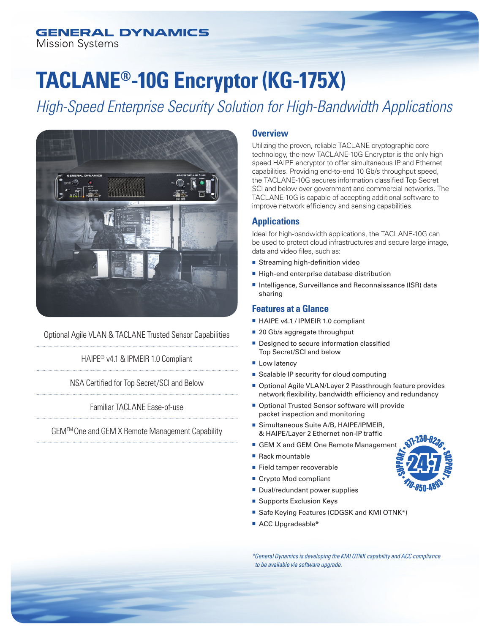# **GENERAL DYNAMICS**

**Mission Systems** 

# **TACLANE®-10G Encryptor (KG-175X)**

*High-Speed Enterprise Security Solution for High-Bandwidth Applications*



Optional Agile VLAN & TACLANE Trusted Sensor Capabilities

HAIPE® v4.1 & IPMEIR 1.0 Compliant

NSA Certified for Top Secret/SCI and Below

Familiar TACLANE Ease-of-use

GEMTM One and GEM X Remote Management Capability

## **Overview**

Utilizing the proven, reliable TACLANE cryptographic core technology, the new TACLANE-10G Encryptor is the only high speed HAIPE encryptor to offer simultaneous IP and Ethernet capabilities. Providing end-to-end 10 Gb/s throughput speed, the TACLANE-10G secures information classified Top Secret SCI and below over government and commercial networks. The TACLANE-10G is capable of accepting additional software to improve network efficiency and sensing capabilities.

# **Applications**

Ideal for high-bandwidth applications, the TACLANE-10G can be used to protect cloud infrastructures and secure large image, data and video files, such as:

- $\blacksquare$  Streaming high-definition video
- High-end enterprise database distribution
- Intelligence, Surveillance and Reconnaissance (ISR) data sharing

# **Features at a Glance**

- HAIPE v4.1 / IPMEIR 1.0 compliant
- 20 Gb/s aggregate throughput
- **Designed to secure information classified** Top Secret/SCI and below
- **Low latency**
- Scalable IP security for cloud computing
- Optional Agile VLAN/Layer 2 Passthrough feature provides network flexibility, bandwidth efficiency and redundancy
- Optional Trusted Sensor software will provide packet inspection and monitoring
- Simultaneous Suite A/B, HAIPE/IPMEIR, & HAIPE/Layer 2 Ethernet non-IP traffic
- GEM X and GEM One Remote Management
- $\blacksquare$  Rack mountable
- Field tamper recoverable
- Crypto Mod compliant
- Dual/redundant power supplies
- Supports Exclusion Keys
- Safe Keying Features (CDGSK and KMI OTNK\*)
- ACC Upgradeable\*

*\*General Dynamics is developing the KMI OTNK capability and ACC compliance to be available via software upgrade.*